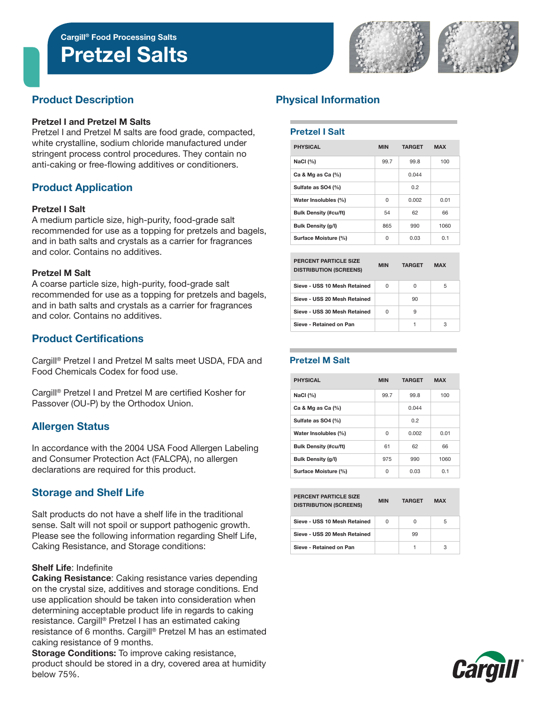Pretzel Salts





# Product Description

#### Pretzel I and Pretzel M Salts

Pretzel I and Pretzel M salts are food grade, compacted, white crystalline, sodium chloride manufactured under stringent process control procedures. They contain no anti-caking or free-flowing additives or conditioners.

# Product Application

#### Pretzel I Salt

A medium particle size, high-purity, food-grade salt recommended for use as a topping for pretzels and bagels, and in bath salts and crystals as a carrier for fragrances and color. Contains no additives.

#### Pretzel M Salt

A coarse particle size, high-purity, food-grade salt recommended for use as a topping for pretzels and bagels, and in bath salts and crystals as a carrier for fragrances and color. Contains no additives.

# Product Certifications

Cargill® Pretzel I and Pretzel M salts meet USDA, FDA and Food Chemicals Codex for food use.

Cargill® Pretzel I and Pretzel M are certified Kosher for Passover (OU-P) by the Orthodox Union.

# Allergen Status

In accordance with the 2004 USA Food Allergen Labeling and Consumer Protection Act (FALCPA), no allergen declarations are required for this product.

# Storage and Shelf Life

Salt products do not have a shelf life in the traditional sense. Salt will not spoil or support pathogenic growth. Please see the following information regarding Shelf Life, Caking Resistance, and Storage conditions:

#### Shelf Life: Indefinite

Caking Resistance: Caking resistance varies depending on the crystal size, additives and storage conditions. End use application should be taken into consideration when determining acceptable product life in regards to caking resistance. Cargill® Pretzel I has an estimated caking resistance of 6 months. Cargill® Pretzel M has an estimated caking resistance of 9 months.

Storage Conditions: To improve caking resistance, product should be stored in a dry, covered area at humidity below 75%.

# Physical Information

### Pretzel I Salt

| <b>PHYSICAL</b>              | <b>MIN</b> | <b>TARGET</b> | <b>MAX</b> |  |
|------------------------------|------------|---------------|------------|--|
| NaCl $(%)$                   | 99.7       | 99.8          | 100        |  |
| Ca & Mg as Ca $(%)$          |            | 0.044         |            |  |
| Sulfate as SO4 (%)           |            | 0.2           |            |  |
| Water Insolubles (%)         | 0          | 0.002         | 0.01       |  |
| <b>Bulk Density (#cu/ft)</b> | 54         | 62            | 66         |  |
| <b>Bulk Density (g/l)</b>    | 865        | 990           | 1060       |  |
| Surface Moisture (%)         | 0          | 0.03          | 0.1        |  |
|                              |            |               |            |  |
| PERCENT PARTICLE SIZE        | -----      | ------        |            |  |

| <b>DISTRIBUTION (SCREENS)</b> | <b>MIN</b> | <b>TARGET</b> | <b>MAX</b> |  |
|-------------------------------|------------|---------------|------------|--|
| Sieve - USS 10 Mesh Retained  | 0          | U             | 5          |  |
| Sieve - USS 20 Mesh Retained  |            | 90            |            |  |
| Sieve - USS 30 Mesh Retained  | 0          | 9             |            |  |
| Sieve - Retained on Pan       |            |               | 3          |  |

#### Pretzel M Salt

| <b>PHYSICAL</b>              | <b>MIN</b> | <b>TARGET</b> | <b>MAX</b> |  |
|------------------------------|------------|---------------|------------|--|
| NaCl $(%)$                   | 99.7       | 99.8          | 100        |  |
| Ca & Mg as Ca $(%)$          |            | 0.044         |            |  |
| Sulfate as SO4 (%)           |            | 0.2           |            |  |
| Water Insolubles (%)         | 0          | 0.002         | 0.01       |  |
| <b>Bulk Density (#cu/ft)</b> | 61         | 62            | 66         |  |
| Bulk Density (g/l)           | 975        | 990           | 1060       |  |
| Surface Moisture (%)         | U          | 0.03          | 0.1        |  |

| <b>PERCENT PARTICLE SIZE</b><br><b>DISTRIBUTION (SCREENS)</b> | <b>MIN</b> | <b>TARGET</b> | <b>MAX</b> |  |
|---------------------------------------------------------------|------------|---------------|------------|--|
| Sieve - USS 10 Mesh Retained                                  | 0          | n             | 5          |  |
| Sieve - USS 20 Mesh Retained                                  |            | 99            |            |  |
| Sieve - Retained on Pan                                       |            |               | З          |  |